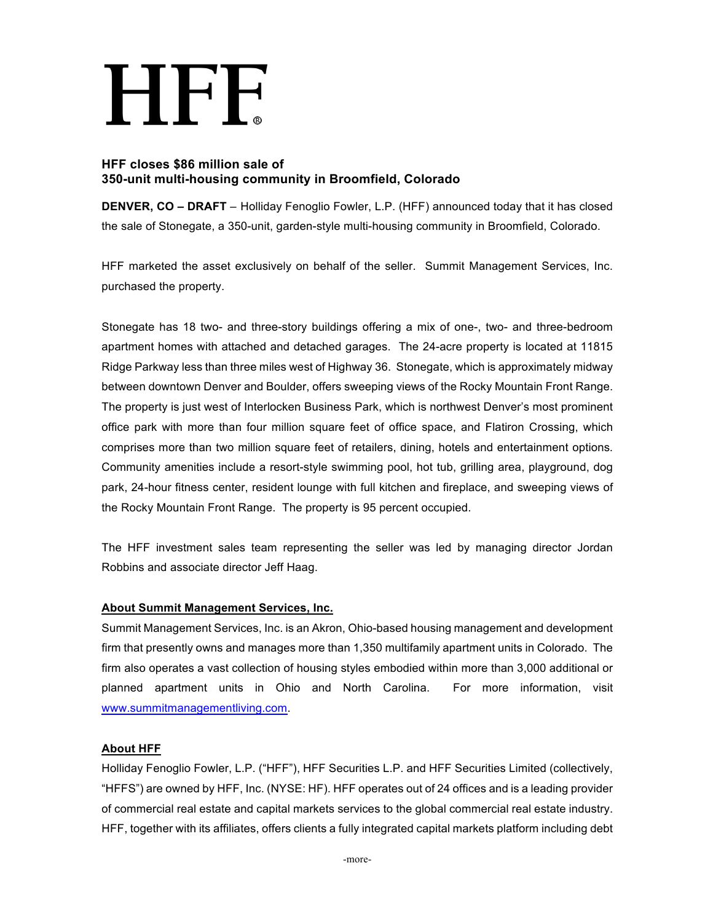# HEF

# **HFF closes \$86 million sale of 350-unit multi-housing community in Broomfield, Colorado**

**DENVER, CO – DRAFT** – Holliday Fenoglio Fowler, L.P. (HFF) announced today that it has closed the sale of Stonegate, a 350-unit, garden-style multi-housing community in Broomfield, Colorado.

HFF marketed the asset exclusively on behalf of the seller. Summit Management Services, Inc. purchased the property.

Stonegate has 18 two- and three-story buildings offering a mix of one-, two- and three-bedroom apartment homes with attached and detached garages. The 24-acre property is located at 11815 Ridge Parkway less than three miles west of Highway 36. Stonegate, which is approximately midway between downtown Denver and Boulder, offers sweeping views of the Rocky Mountain Front Range. The property is just west of Interlocken Business Park, which is northwest Denver's most prominent office park with more than four million square feet of office space, and Flatiron Crossing, which comprises more than two million square feet of retailers, dining, hotels and entertainment options. Community amenities include a resort-style swimming pool, hot tub, grilling area, playground, dog park, 24-hour fitness center, resident lounge with full kitchen and fireplace, and sweeping views of the Rocky Mountain Front Range. The property is 95 percent occupied.

The HFF investment sales team representing the seller was led by managing director Jordan Robbins and associate director Jeff Haag.

## **About Summit Management Services, Inc.**

Summit Management Services, Inc. is an Akron, Ohio-based housing management and development firm that presently owns and manages more than 1,350 multifamily apartment units in Colorado. The firm also operates a vast collection of housing styles embodied within more than 3,000 additional or planned apartment units in Ohio and North Carolina. For more information, visit www.summitmanagementliving.com.

## **About HFF**

Holliday Fenoglio Fowler, L.P. ("HFF"), HFF Securities L.P. and HFF Securities Limited (collectively, "HFFS") are owned by HFF, Inc. (NYSE: HF). HFF operates out of 24 offices and is a leading provider of commercial real estate and capital markets services to the global commercial real estate industry. HFF, together with its affiliates, offers clients a fully integrated capital markets platform including debt